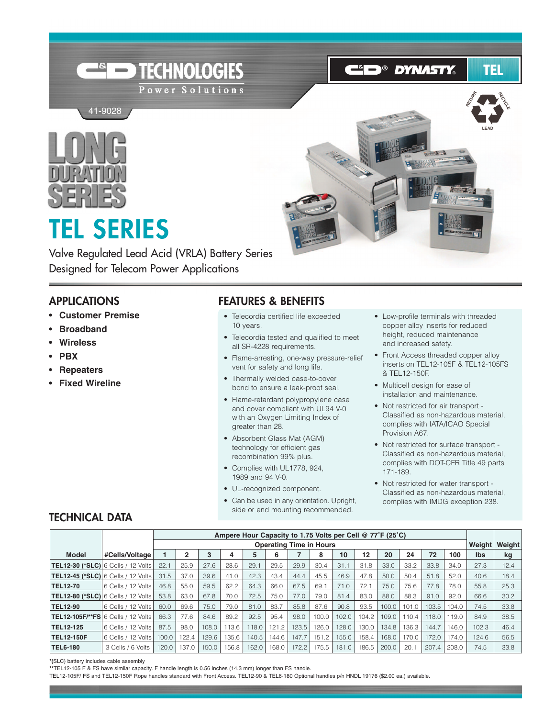

**ED® DYNASTY** 

# TEL



# **TEL SERIES**

41-9028 41-9028

Valve Regulated Lead Acid (VRLA) Battery Series Designed for Telecom Power Applications

#### **APPLICATIONS**

- **Customer Premise**
- **• Broadband**
- **Wireless**
- **PBX**
- **• Repeaters**
- **Fixed Wireline**

#### **FEATURES & BENEFITS**

- Telecordia certified life exceeded 10 years.
- Telecordia tested and qualified to meet all SR-4228 requirements.
- Flame-arresting, one-way pressure-relief vent for safety and long life.
- Thermally welded case-to-cover bond to ensure a leak-proof seal.
- Flame-retardant polypropylene case and cover compliant with UL94 V-0 with an Oxygen Limiting Index of greater than 28.
- Absorbent Glass Mat (AGM) technology for efficient gas recombination 99% plus.
- Complies with UL1778, 924, 1989 and 94 V-0.
- UL-recognized component.
- Can be used in any orientation. Upright, side or end mounting recommended.
- Low-profile terminals with threaded copper alloy inserts for reduced height, reduced maintenance and increased safety.
- Front Access threaded copper alloy inserts on TEL12-105F & TEL12-105FS & TEL12-150F.
- Multicell design for ease of installation and maintenance.
- Not restricted for air transport Classified as non-hazardous material, complies with IATA/ICAO Special Provision A67.
- Not restricted for surface transport Classified as non-hazardous material, complies with DOT-CFR Title 49 parts 171-189.
- Not restricted for water transport Classified as non-hazardous material, complies with IMDG exception 238.

#### **TECHNICAL DATA**

|                                              |                        |       |       |       | Ampere Hour Capacity to 1.75 Volts per Cell @ 77°F (25°C) |       |       |                                |       |       |       |       |       |       |       |            |        |
|----------------------------------------------|------------------------|-------|-------|-------|-----------------------------------------------------------|-------|-------|--------------------------------|-------|-------|-------|-------|-------|-------|-------|------------|--------|
|                                              |                        |       |       |       |                                                           |       |       | <b>Operating Time in Hours</b> |       |       |       |       |       |       |       | Weight     | Weight |
| <b>Model</b>                                 | #Cells/Voltage         |       | 2     | 3     |                                                           | 5     | 6     |                                | 8     | 10    | 12    | 20    | 24    | 72    | 100   | <b>Ibs</b> | kg     |
| <b>TEL12-30 (*SLC) </b> 6 Cells / 12 Volts   |                        | 22.1  | 25.9  | 27.6  | 28.6                                                      | 29.   | 29.5  | 29.9                           | 30.4  | 31.1  | 31.8  | 33.0  | 33.2  | 33.8  | 34.0  | 27.3       | 12.4   |
|                                              |                        | 31.5  | 37.0  | 39.6  | 41.0                                                      | 42.3  | 43.4  | 44.4                           | 45.5  | 46.9  | 47.8  | 50.0  | 50.4  | 51.8  | 52.0  | 40.6       | 18.4   |
| <b>TEL12-70</b>                              | 6 Cells / 12 Volts     | 46.8  | 55.0  | 59.5  | 62.2                                                      | 64.3  | 66.0  | 67.5                           | 69.1  | 71.0  | 72.1  | 75.0  | 75.6  | 77.8  | 78.0  | 55.8       | 25.3   |
| $TEL12-80$ (*SLC) $6$ Cells / 12 Volts       |                        | 53.8  | 63.0  | 67.8  | 70.0                                                      | 72.5  | 75.0  | 77.0                           | 79.0  | 81.4  | 83.0  | 88.0  | 88.3  | 91.0  | 92.0  | 66.6       | 30.2   |
| <b>TEL12-90</b>                              | 6 Cells / 12 Volts     | 60.0  | 69.6  | 75.0  | 79.0                                                      | 81.0  | 83.7  | 85.8                           | 87.6  | 90.8  | 93.5  | 100.0 | 101.0 | 103.5 | 104.0 | 74.5       | 33.8   |
| <b>TEL12-105F/**FSI 6 Cells / 12 Volts  </b> |                        | 66.3  | 77.6  | 84.6  | 89.2                                                      | 92.5  | 95.4  | 98.0                           | 100.0 | 102.0 | 104.2 | 109.0 | 110.4 | 118.0 | 119.0 | 84.9       | 38.5   |
| <b>TEL12-125</b>                             | l 6 Cells / 12 Volts l | 87.5  | 98.0  | 108.0 | 113.6                                                     | 118.0 | 121.2 | 123.5                          | 126.0 | 128.0 | 130.0 | 134.8 | 136.3 | 144.7 | 146.0 | 102.3      | 46.4   |
| <b>TEL12-150F</b>                            | 6 Cells / 12 Volts     | 100.0 | 122.4 | 129.6 | 135.6                                                     | 140.5 | 144.6 | 147.7                          | 151.2 | 155.0 | 158.4 | 168.0 | 170.0 | 172.0 | 74.0  | 124.6      | 56.5   |
| <b>TEL6-180</b>                              | 3 Cells / 6 Volts      | 120.0 | 137.0 | 150.0 | 156.8                                                     | 162.0 | 168.0 | 172.2                          | 175.5 | 181.0 | 186.5 | 200.0 | 20.1  | 207.4 | 208.0 | 74.5       | 33.8   |

**\*(**SLC) battery includes cable assembly

TEL12-105F/ FS and TEL12-150F Rope handles standard with Front Access. TEL12-90 & TEL6-180 Optional handles p/n HNDL 19176 (\$2.00 ea.) available.

**<sup>\*\*</sup>**TEL12-105 F & FS have similar capacity. F handle length is 0.56 inches (14.3 mm) longer than FS handle.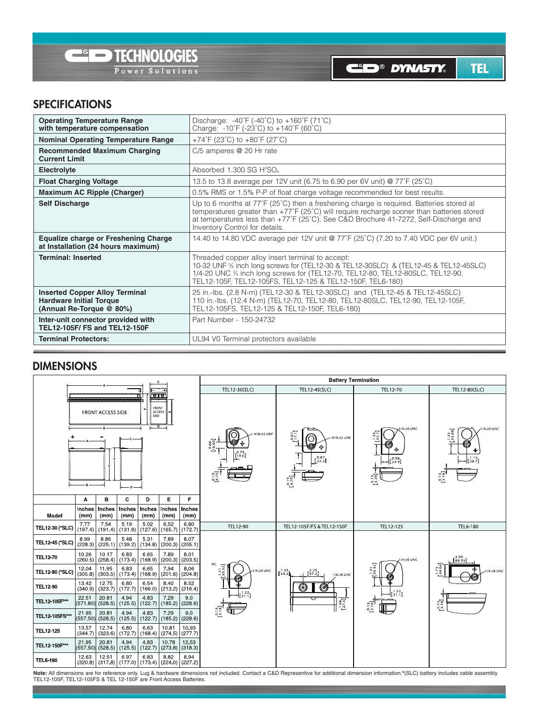

**CID<sup>®</sup> DYNASTY** 

TEL

#### **SPECIFICATIONS**

| <b>Operating Temperature Range</b><br>with temperature compensation                                 | Discharge: -40°F (-40°C) to +160°F (71°C)<br>Charge: -10°F (-23°C) to +140°F (60°C)                                                                                                                                                                                                                                           |
|-----------------------------------------------------------------------------------------------------|-------------------------------------------------------------------------------------------------------------------------------------------------------------------------------------------------------------------------------------------------------------------------------------------------------------------------------|
| <b>Nominal Operating Temperature Range</b>                                                          | +74°F (23°C) to +80°F (27°C)                                                                                                                                                                                                                                                                                                  |
| <b>Recommended Maximum Charging</b><br><b>Current Limit</b>                                         | C/5 amperes @ 20 Hr rate                                                                                                                                                                                                                                                                                                      |
| Electrolyte                                                                                         | Absorbed 1.300 SG $H^2SO_4$                                                                                                                                                                                                                                                                                                   |
| <b>Float Charging Voltage</b>                                                                       | 13.5 to 13.8 average per 12V unit (6.75 to 6.90 per 6V unit) @ 77°F (25°C)                                                                                                                                                                                                                                                    |
| <b>Maximum AC Ripple (Charger)</b>                                                                  | 0.5% RMS or 1.5% P-P of float charge voltage recommended for best results.                                                                                                                                                                                                                                                    |
| <b>Self Discharge</b>                                                                               | Up to 6 months at $77^{\circ}F(25^{\circ}C)$ then a freshening charge is required. Batteries stored at<br>temperatures greater than +77°F (25°C) will require recharge sooner than batteries stored<br>at temperatures less than +77°F (25°C). See C&D Brochure 41-7272, Self-Discharge and<br>Inventory Control for details. |
| <b>Equalize charge or Freshening Charge</b><br>at Installation (24 hours maximum)                   | 14.40 to 14.80 VDC average per 12V unit @ 77°F (25°C) (7.20 to 7.40 VDC per 6V unit.)                                                                                                                                                                                                                                         |
| <b>Terminal: Inserted</b>                                                                           | Threaded copper alloy insert terminal to accept:<br>10-32 UNF % inch long screws for (TEL12-30 & TEL12-30SLC) & (TEL12-45 & TEL12-45SLC)<br>1/4-20 UNC % inch long screws for (TEL12-70, TEL12-80, TEL12-80SLC, TEL12-90,<br>TEL12-105F, TEL12-105FS, TEL12-125 & TEL12-150F, TEL6-180)                                       |
| <b>Inserted Copper Alloy Terminal</b><br><b>Hardware Initial Torque</b><br>(Annual Re-Torque @ 80%) | 25 in.-lbs. (2.8 N-m) (TEL12-30 & TEL12-30SLC) and (TEL12-45 & TEL12-45SLC)<br>110 in.-lbs. (12.4 N-m) (TEL12-70, TEL12-80, TEL12-80SLC, TEL12-90, TEL12-105F,<br>TEL12-105FS, TEL12-125 & TEL12-150F, TEL6-180)                                                                                                              |
| Inter-unit connector provided with<br>TEL12-105F/ FS and TEL12-150F                                 | Part Number - 150-24732                                                                                                                                                                                                                                                                                                       |
| <b>Terminal Protectors:</b>                                                                         | UL94 V0 Terminal protectors available                                                                                                                                                                                                                                                                                         |

#### **DIMENSIONS**



**Note:** All dimensions are for reference only. Lug & hardware dimensions not included. Contact a C&D Representive for additional dimension information.\*(SLC) battery includes cable assembly<br>TEL12-105F, TEL12-105FS & TEL 12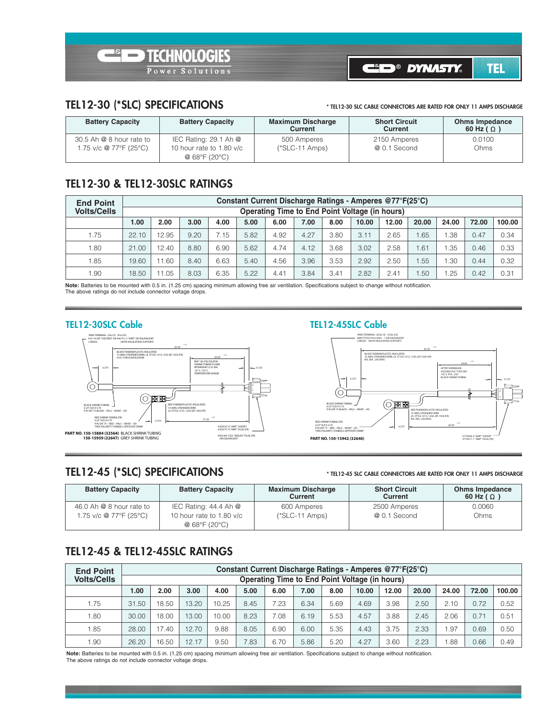

**CID<sup>®</sup> DYNASTY TEL** 

#### **TEL12-30 (\*SLC) SPECIFICATIONS**

**\* TEL12-30 SLC CABLE CONNECTORS ARE RATED FOR ONLY 11 AMPS DISCHARGE**

| <b>Battery Capacity</b>  | <b>Battery Capacity</b>                   | <b>Maximum Discharge</b><br><b>Current</b> | <b>Short Circuit</b><br>Current | <b>Ohms Impedance</b><br>60 Hz ( $\Omega$ ) |
|--------------------------|-------------------------------------------|--------------------------------------------|---------------------------------|---------------------------------------------|
| 30.5 Ah @ 8 hour rate to | IEC Rating: $29.1$ Ah $@$                 | 500 Amperes                                | 2150 Amperes                    | 0.0100                                      |
| 1.75 v/c @ 77°F (25°C)   | 10 hour rate to 1.80 v/c<br>@ 68°F (20°C) | $(*SLC-11 \, Amps)$                        | @ 0.1 Second                    | Ohms                                        |

#### **TEL12-30 & TEL12-30SLC RATINGS**

| <b>End Point</b>   |       |                                                       |      |      |      |      |      |      | Constant Current Discharge Ratings - Amperes @77°F(25°C) |       |       |       |       |        |  |  |
|--------------------|-------|-------------------------------------------------------|------|------|------|------|------|------|----------------------------------------------------------|-------|-------|-------|-------|--------|--|--|
| <b>Volts/Cells</b> |       | <b>Operating Time to End Point Voltage (in hours)</b> |      |      |      |      |      |      |                                                          |       |       |       |       |        |  |  |
|                    | 1.00  | 2.00                                                  | 3.00 | 4.00 | 5.00 | 6.00 | 7.00 | 8.00 | 10.00                                                    | 12.00 | 20.00 | 24.00 | 72.00 | 100.00 |  |  |
| 1.75               | 22.10 | 12.95                                                 | 9.20 | 7.15 | 5.82 | 4.92 | 4.27 | 3.80 | 3.11                                                     | 2.65  | .65   | .38   | 0.47  | 0.34   |  |  |
| 1.80               | 21.00 | 12.40                                                 | 8.80 | 6.90 | 5.62 | 4.74 | 4.12 | 3.68 | 3.02                                                     | 2.58  | 1.61  | .35   | 0.46  | 0.33   |  |  |
| 1.85               | 19.60 | 11.60                                                 | 8.40 | 6.63 | 5.40 | 4.56 | 3.96 | 3.53 | 2.92                                                     | 2.50  | .55   | .30   | 0.44  | 0.32   |  |  |
| 1.90               | 18.50 | 11.05                                                 | 8.03 | 6.35 | 5.22 | 4.41 | 3.84 | 3.41 | 2.82                                                     | 2.41  | 50    | .25   | 0.42  | 0.31   |  |  |

**Note:** Batteries to be mounted with 0.5 in. (1.25 cm) spacing minimum allowing free air ventilation. Specifications subject to change without notification. The above ratings do not include connector voltage drops.



#### **TEL12-30SLC Cable TEL12-45SLC Cable**



#### **TEL12-45 (\*SLC) SPECIFICATIONS**

**\* TEL12-45 SLC CABLE CONNECTORS ARE RATED FOR ONLY 11 AMPS DISCHARGE**

| <b>Battery Capacity</b>                              | <b>Battery Capacity</b>                                                                   | <b>Maximum Discharge</b><br>Current | <b>Short Circuit</b><br>Current | <b>Ohms Impedance</b><br>60 Hz ( $\Omega$ ) |
|------------------------------------------------------|-------------------------------------------------------------------------------------------|-------------------------------------|---------------------------------|---------------------------------------------|
| 46.0 Ah @ 8 hour rate to<br>1.75 v/c @ 77°F (25°C) . | IEC Rating: 44.4 Ah @<br>10 hour rate to 1.80 $v/c$<br>@ $68^{\circ}$ F (20 $^{\circ}$ C) | 600 Amperes<br>$(*SLC-11 \, Amps)$  | 2500 Amperes<br>@ 0.1 Second    | 0.0060<br>Ohms                              |

### **TEL12-45 & TEL12-45SLC RATINGS**

| <b>End Point</b>   | Constant Current Discharge Ratings - Amperes @77°F(25°C) |       |       |       |      |      |      |      |                                                |       |       |       |       |        |
|--------------------|----------------------------------------------------------|-------|-------|-------|------|------|------|------|------------------------------------------------|-------|-------|-------|-------|--------|
| <b>Volts/Cells</b> |                                                          |       |       |       |      |      |      |      | Operating Time to End Point Voltage (in hours) |       |       |       |       |        |
|                    | 1.00                                                     | 2.00  | 3.00  | 4.00  | 5.00 | 6.00 | 7.00 | 8.00 | 10.00                                          | 12.00 | 20.00 | 24.00 | 72.00 | 100.00 |
| 1.75               | 31.50                                                    | 18.50 | 13.20 | 10.25 | 8.45 | 7.23 | 6.34 | 5.69 | 4.69                                           | 3.98  | 2.50  | 2.10  | 0.72  | 0.52   |
| 1.80               | 30.00                                                    | 18.00 | 13.00 | 10.00 | 8.23 | 7.08 | 6.19 | 5.53 | 4.57                                           | 3.88  | 2.45  | 2.06  | 0.71  | 0.51   |
| 1.85               | 28.00                                                    | 17.40 | 12.70 | 9.88  | 8.05 | 6.90 | 6.00 | 5.35 | 4.43                                           | 3.75  | 2.33  | .97   | 0.69  | 0.50   |
| 1.90               | 26.20                                                    | 16.50 | 12.17 | 9.50  | 7.83 | 6.70 | 5.86 | 5.20 | 4.27                                           | 3.60  | 2.23  | .88   | 0.66  | 0.49   |

**Note:** Batteries to be mounted with 0.5 in. (1.25 cm) spacing minimum allowing free air ventilation. Specifications subject to change without notification. The above ratings do not include connector voltage drops.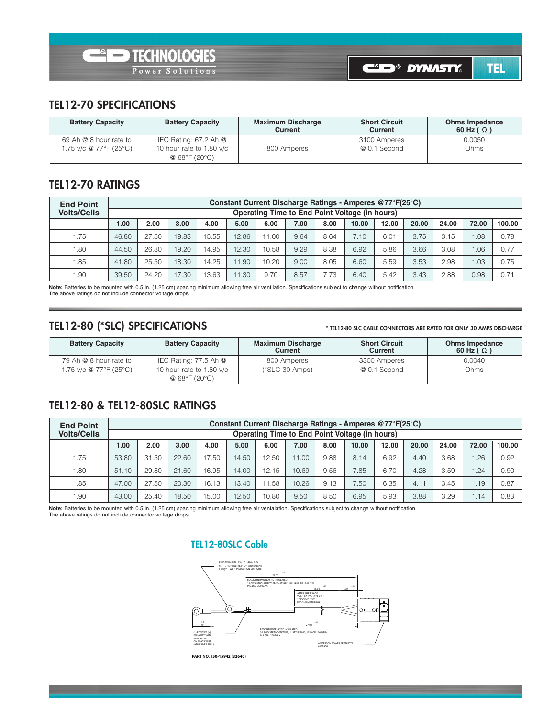

#### **TEL12-70 SPECIFICATIONS**

| <b>Battery Capacity</b>                          | <b>Battery Capacity</b>                                              | <b>Maximum Discharge</b><br>Current | <b>Short Circuit</b><br>Current | <b>Ohms Impedance</b><br>60 Hz ( $\Omega$ ) |
|--------------------------------------------------|----------------------------------------------------------------------|-------------------------------------|---------------------------------|---------------------------------------------|
| 69 Ah @ 8 hour rate to<br>1.75 v/c @ 77°F (25°C) | IEC Rating: 67.2 Ah $@$<br>10 hour rate to 1.80 v/c<br>@ 68°F (20°C) | 800 Amperes                         | 3100 Amperes<br>@ 0.1 Second    | 0.0050<br>Ohms                              |

#### **TEL12-70 RATINGS**

| <b>End Point</b>   | Constant Current Discharge Ratings - Amperes @77°F(25°C) |       |       |       |       |       |                                                |      |       |       |       |       |       |        |
|--------------------|----------------------------------------------------------|-------|-------|-------|-------|-------|------------------------------------------------|------|-------|-------|-------|-------|-------|--------|
| <b>Volts/Cells</b> |                                                          |       |       |       |       |       | Operating Time to End Point Voltage (in hours) |      |       |       |       |       |       |        |
|                    | 1.00                                                     | 2.00  | 3.00  | 4.00  | 5.00  | 6.00  | 7.00                                           | 8.00 | 10.00 | 12.00 | 20.00 | 24.00 | 72.00 | 100.00 |
| 1.75               | 46.80                                                    | 27.50 | 19.83 | 15.55 | 12.86 | 11.00 | 9.64                                           | 8.64 | 7.10  | 6.01  | 3.75  | 3.15  | 1.08  | 0.78   |
| 1.80               | 44.50                                                    | 26.80 | 19.20 | 14.95 | 12.30 | 10.58 | 9.29                                           | 8.38 | 6.92  | 5.86  | 3.66  | 3.08  | 1.06  | 0.77   |
| 1.85               | 41.80                                                    | 25.50 | 18.30 | 14.25 | 11.90 | 10.20 | 9.00                                           | 8.05 | 6.60  | 5.59  | 3.53  | 2.98  | 1.03  | 0.75   |
| 1.90               | 39.50                                                    | 24.20 | 17.30 | 13.63 | 11.30 | 9.70  | 8.57                                           | 7.73 | 6.40  | 5.42  | 3.43  | 2.88  | 0.98  | 0.71   |

**Note:** Batteries to be mounted with 0.5 in. (1.25 cm) spacing minimum allowing free air ventilation. Specifications subject to change without notification. The above ratings do not include connector voltage drops.

#### **TEL12-80 (\*SLC) SPECIFICATIONS**

#### **\* TEL12-80 SLC CABLE CONNECTORS ARE RATED FOR ONLY 30 AMPS DISCHARGE**

| <b>Battery Capacity</b> | <b>Battery Capacity</b>                                  | <b>Maximum Discharge</b><br>Current | <b>Short Circuit</b><br><b>Current</b> | <b>Ohms Impedance</b><br>60 Hz ( $\Omega$ ) |
|-------------------------|----------------------------------------------------------|-------------------------------------|----------------------------------------|---------------------------------------------|
| 79 Ah @ 8 hour rate to  | IEC Rating: 77.5 Ah @                                    | 800 Amperes                         | 3300 Amperes                           | 0.0040                                      |
| 1.75 v/c @ 77°F (25°C)  | 10 hour rate to 1.80 v/c<br>@ $68^{\circ}F(20^{\circ}C)$ | $(*SLC-30 \, Amps)$                 | @ 0.1 Second                           | Ohms                                        |

#### **TEL12-80 & TEL12-80SLC RATINGS**

| <b>End Point</b>   | Constant Current Discharge Ratings - Amperes @77°F(25°C) |                                                |       |       |       |       |       |      |       |       |       |       |       |        |  |  |
|--------------------|----------------------------------------------------------|------------------------------------------------|-------|-------|-------|-------|-------|------|-------|-------|-------|-------|-------|--------|--|--|
| <b>Volts/Cells</b> |                                                          | Operating Time to End Point Voltage (in hours) |       |       |       |       |       |      |       |       |       |       |       |        |  |  |
|                    | 1.00                                                     | 2.00                                           | 3.00  | 4.00  | 5.00  | 6.00  | 7.00  | 8.00 | 10.00 | 12.00 | 20.00 | 24.00 | 72.00 | 100.00 |  |  |
| 1.75               | 53.80                                                    | 31.50                                          | 22.60 | 17.50 | 14.50 | 12.50 | 11.00 | 9.88 | 8.14  | 6.92  | 4.40  | 3.68  | .26   | 0.92   |  |  |
| 1.80               | 51.10                                                    | 29.80                                          | 21.60 | 16.95 | 14.00 | 12.15 | 10.69 | 9.56 | 7.85  | 6.70  | 4.28  | 3.59  | .24   | 0.90   |  |  |
| 1.85               | 47.00                                                    | 27.50                                          | 20.30 | 16.13 | 13.40 | 11.58 | 10.26 | 9.13 | 7.50  | 6.35  | 4.11  | 3.45  | 1.19  | 0.87   |  |  |
| 1.90               | 43.00                                                    | 25.40                                          | 18.50 | 15.00 | 12.50 | 10.80 | 9.50  | 8.50 | 6.95  | 5.93  | 3.88  | 3.29  | 1.14  | 0.83   |  |  |

**Note:** Batteries to be mounted with 0.5 in. (1.25 cm) spacing minimum allowing free air ventalation. Specifications subject to change without notification. The above ratings do not include connector voltage drops.

#### **TEL12-80SLC Cable**



**ART NO. 150-15942 (32640)**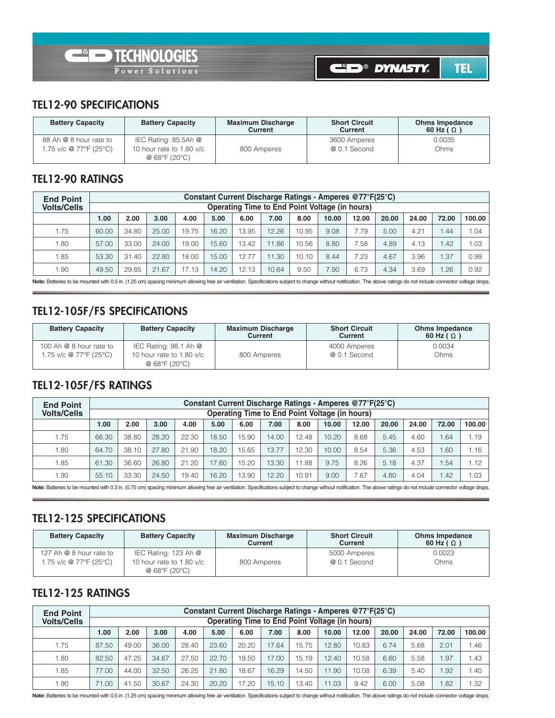#### **TEL12-90 SPECIFICATIONS**

| <b>Battery Capacity</b>                          | <b>Battery Capacity</b>                                             | <b>Maximum Discharge</b><br>Current | <b>Short Circuit</b><br>Current | <b>Ohms Impedance</b><br>60 Hz ( $\Omega$ ) |
|--------------------------------------------------|---------------------------------------------------------------------|-------------------------------------|---------------------------------|---------------------------------------------|
| 88 Ah @ 8 hour rate to<br>1.75 v/c @ 77°F (25°C) | IEC Rating: 85.5Ah @<br>10 hour rate to 1.80 $v/c$<br>@ 68°F (20°C) | 800 Amperes                         | 3600 Amperes<br>@ 0.1 Second    | 0.0035<br>Ohms                              |

### **TEL12-90 RATINGS**

| <b>End Point</b>   |       |       |       |       |       |       |                                                |       |       | Constant Current Discharge Ratings - Amperes @77°F(25°C) |       |       |       |        |
|--------------------|-------|-------|-------|-------|-------|-------|------------------------------------------------|-------|-------|----------------------------------------------------------|-------|-------|-------|--------|
| <b>Volts/Cells</b> |       |       |       |       |       |       | Operating Time to End Point Voltage (in hours) |       |       |                                                          |       |       |       |        |
|                    | 1.00  | 2.00  | 3.00  | 4.00  | 5.00  | 6.00  | 7.00                                           | 8.00  | 10.00 | 12.00                                                    | 20.00 | 24.00 | 72.00 | 100.00 |
| 1.75               | 60.00 | 34.80 | 25.00 | 19.75 | 16.20 | 13.95 | 12.26                                          | 10.95 | 9.08  | 7.79                                                     | 5.00  | 4.21  | .44   | .04    |
| 1.80               | 57.00 | 33.00 | 24.00 | 19.00 | 15.60 | 13.42 | 1.86                                           | 10.56 | 8.80  | 7.58                                                     | 4.89  | 4.13  | 1.42  | .03    |
| 1.85               | 53.30 | 31.40 | 22.80 | 18.00 | 15.00 | 12.77 | 11.30                                          | 10.10 | 8.44  | 7.23                                                     | 4.67  | 3.96  | 1.37  | 0.99   |
| 1.90               | 49.50 | 29.85 | 21.67 | 17.13 | 14.20 | 12.13 | 10.64                                          | 9.50  | 7.90  | 6.73                                                     | 4.34  | 3.69  | 1.26  | 0.92   |

Note: Batteries to be mounted with 0.5 in. (1.25 cm) spacing minimum allowing free air ventilation. Specifications subject to change without notification. The above ratings do not include connector voltage drops.

### **TEL12-105F/FS SPECIFICATIONS**

| <b>Battery Capacity</b> | <b>Battery Capacity</b>                                    | <b>Maximum Discharge</b><br>Current | <b>Short Circuit</b><br>Current | <b>Ohms Impedance</b><br>60 Hz ( $\Omega$ ) |
|-------------------------|------------------------------------------------------------|-------------------------------------|---------------------------------|---------------------------------------------|
| 100 Ah @ 8 hour rate to | IEC Rating: 98.1 Ah $@$                                    |                                     | 4000 Amperes                    | 0.0034                                      |
| 1.75 v/c @ 77°F (25°C)  | 10 hour rate to 1.80 $v/c$<br>@ $68^{\circ}F(20^{\circ}C)$ | 800 Amperes                         | @ 0.1 Second                    | Ohms                                        |

# **TEL12-105F/FS RATINGS**

| <b>End Point</b>   |       | Constant Current Discharge Ratings - Amperes @77°F(25°C) |       |       |       |       |       |       |       |       |       |       |       |        |
|--------------------|-------|----------------------------------------------------------|-------|-------|-------|-------|-------|-------|-------|-------|-------|-------|-------|--------|
| <b>Volts/Cells</b> |       | Operating Time to End Point Voltage (in hours)           |       |       |       |       |       |       |       |       |       |       |       |        |
|                    | 00.1  | 2.00                                                     | 3.00  | 4.00  | 5.00  | 6.00  | 7.00  | 8.00  | 10.00 | 12.00 | 20.00 | 24.00 | 72.00 | 100.00 |
| 1.75               | 66.30 | 38.80                                                    | 28.20 | 22.30 | 18.50 | 15.90 | 14.00 | 12.48 | 10.20 | 8.68  | 5.45  | 4.60  | 1.64  | l.19   |
| 1.80               | 64.70 | 38.10                                                    | 27.80 | 21.90 | 18.20 | 15.65 | 13.77 | 12.30 | 10.00 | 8.54  | 5.36  | 4.53  | 1.60  | i.16   |
| 1.85               | 61.30 | 36.60                                                    | 26.80 | 21.20 | 17.60 | 15.20 | 13.30 | 11.88 | 9.75  | 8.26  | 5.18  | 4.37  | 1.54  | 1.12   |
| 1.90               | 55.10 | 33.30                                                    | 24.50 | 19.40 | 16.20 | 13.90 | 12.20 | 10.91 | 9.00  | 7.67  | 4.80  | 4.04  | 1.42  | .03    |

Note: Batteries to be mounted with 0.3 in. (0.75 cm) spacing minimum allowing free air ventilation. Specifications subject to change without notification. The above ratings do not include connector voltage drops.

#### **TEL12-125 SPECIFICATIONS**

| <b>Battery Capacity</b>                           | <b>Battery Capacity</b>                                                            | <b>Maximum Discharge</b><br><b>Current</b> | <b>Short Circuit</b><br>Current | <b>Ohms Impedance</b><br>60 Hz ( $\Omega$ ) |
|---------------------------------------------------|------------------------------------------------------------------------------------|--------------------------------------------|---------------------------------|---------------------------------------------|
| 127 Ah @ 8 hour rate to<br>1.75 v/c @ 77°F (25°C) | IEC Rating: 123 Ah @<br>10 hour rate to 1.80 $v/c$<br>@ $68^{\circ}F(20^{\circ}C)$ | 800 Amperes                                | 5000 Amperes<br>@ 0.1 Second    | 0.0023<br>Ohms                              |

#### **TEL12-125 RATINGS**

| <b>End Point</b>   |       | Constant Current Discharge Ratings - Amperes @77°F(25°C) |       |       |       |       |       |       |       |       |       |       |       |        |
|--------------------|-------|----------------------------------------------------------|-------|-------|-------|-------|-------|-------|-------|-------|-------|-------|-------|--------|
| <b>Volts/Cells</b> |       | Operating Time to End Point Voltage (in hours)           |       |       |       |       |       |       |       |       |       |       |       |        |
|                    | 1.00  | 2.00                                                     | 3.00  | 4.00  | 5.00  | 6.00  | 7.00  | 8.00  | 10.00 | 12.00 | 20.00 | 24.00 | 72.00 | 100.00 |
| 1.75               | 87.50 | 49.00                                                    | 36.00 | 28.40 | 23.60 | 20.20 | 17.64 | 15.75 | 12.80 | 10.83 | 6.74  | 5.68  | 2.01  | .46    |
| 1.80               | 82.50 | 47.25                                                    | 34.67 | 27.50 | 22.70 | 19.50 | 17.00 | 15.19 | 12.40 | 10.58 | 6.60  | 5.58  | 1.97  | .43    |
| 1.85               | 77.00 | 44.00                                                    | 32.50 | 26.25 | 21.80 | 18.67 | 16.29 | 14.50 | 11.90 | 10.08 | 6.39  | 5.40  | 1.92  | . 40   |
| 1.90               | 71.00 | .50<br>41                                                | 30.67 | 24.30 | 20.20 | 17.20 | 15.10 | 13.40 | 11.03 | 9.42  | 6.00  | 5.08  | .82   | .32    |

Note: Batteries to be mounted with 0.5 in. (1.25 cm) spacing minimum allowing free air ventilation. Specifications subject to change without notification. The above ratings do not include connector voltage drops.